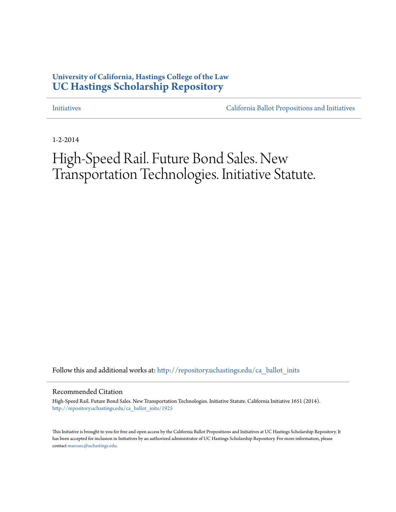# **University of California, Hastings College of the Law [UC Hastings Scholarship Repository](http://repository.uchastings.edu?utm_source=repository.uchastings.edu%2Fca_ballot_inits%2F1925&utm_medium=PDF&utm_campaign=PDFCoverPages)**

[Initiatives](http://repository.uchastings.edu/ca_ballot_inits?utm_source=repository.uchastings.edu%2Fca_ballot_inits%2F1925&utm_medium=PDF&utm_campaign=PDFCoverPages) [California Ballot Propositions and Initiatives](http://repository.uchastings.edu/ca_ballots?utm_source=repository.uchastings.edu%2Fca_ballot_inits%2F1925&utm_medium=PDF&utm_campaign=PDFCoverPages)

1-2-2014

# High-Speed Rail. Future Bond Sales. New Transportation Technologies. Initiative Statute.

Follow this and additional works at: [http://repository.uchastings.edu/ca\\_ballot\\_inits](http://repository.uchastings.edu/ca_ballot_inits?utm_source=repository.uchastings.edu%2Fca_ballot_inits%2F1925&utm_medium=PDF&utm_campaign=PDFCoverPages)

#### Recommended Citation

High-Speed Rail. Future Bond Sales. New Transportation Technologies. Initiative Statute. California Initiative 1651 (2014). [http://repository.uchastings.edu/ca\\_ballot\\_inits/1925](http://repository.uchastings.edu/ca_ballot_inits/1925?utm_source=repository.uchastings.edu%2Fca_ballot_inits%2F1925&utm_medium=PDF&utm_campaign=PDFCoverPages)

This Initiative is brought to you for free and open access by the California Ballot Propositions and Initiatives at UC Hastings Scholarship Repository. It has been accepted for inclusion in Initiatives by an authorized administrator of UC Hastings Scholarship Repository. For more information, please contact [marcusc@uchastings.edu](mailto:marcusc@uchastings.edu).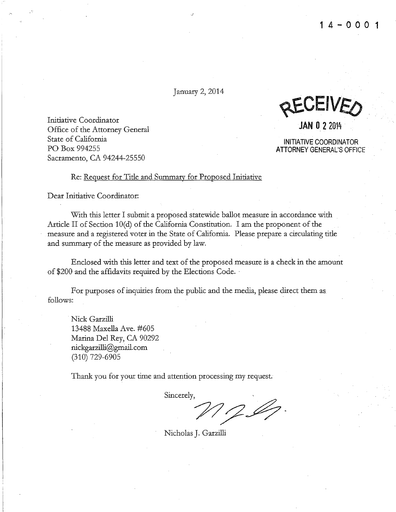January 2, 2014

.J

Initiative Coordinator Office of the Attorney General State of California PO Box 994255 Sacramento, CA 94244-25550

WEULIVE ()

**JAN 0** 2 2014

**INITIATIVE COORDINATOR** ATTORNEY GENERAL'S OFFICE

#### Re: Request for Title and Summary for Proposed Initiative

Dear Initiative Coordinator:

With this letter I submit a proposed statewide ballot measure in accordance with Article II of Section  $10(d)$  of the California Constitution. I am the proponent of the measure and a registered voter in the State of California. Please prepare a circulating title and summary of the measure as provided by law.

Enclosed with this letter and text of the proposed measure is a check in the amount of \$200 and the affidavits required by the Elections Code. ·

For purposes of inquiries from the public and the media, please direct them as follows:

Nick Garzilli 13488 Maxella Ave. #605 Marina Del Rey, CA 90292 nickgarzilli@gmail.com (310) 729-6905

Thank you for your time and attention processing my request.

Sincerely,

'?7;::2~-

Nicholas J. Garzilli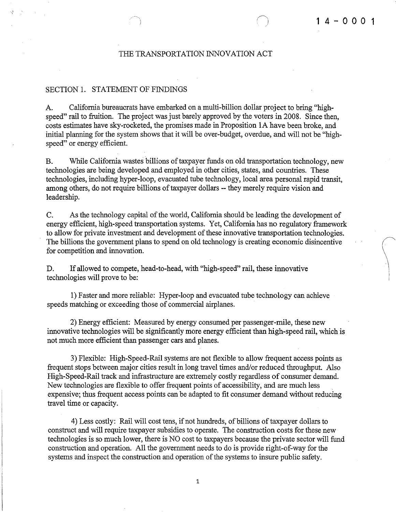#### THE TRANSPORTATION INNOVATION ACT

 $\overline{)}$ 

#### SECTION 1. STATEMENT OF FINDINGS

!

A. California bureaucrats have embarked on a multi-billion dollar project to bring "highspeed" rail to fruition. The project was just barely approved by the voters in 2008. Since then, costs estimates have sky-rocketed, the promises made in Proposition lA have been broke, and initial planning for the system shows that it will be over-budget, overdue, and will not be "highspeed" or energy efficient.

B. While California wastes billions of taxpayer funds on old transportation technology, new technologies are being developed and employed in other cities, states, and countries. These technologies, including hyper-loop, evacuated tube technology, local area personal rapid transit, among others, do not require billions of taxpayer dollars-- they merely require vision and leadership.

C. As the technology capital of the world, California should be leading the development of energy efficient, high-speed transportation systems. Yet, California has no regulatory framework to allow for private investment and development of these innovative transportation technologies. The billions the government plans to spend on old technology is creating economic disincentive for competition and innovation.

D. If allowed to compete, head-to-head, with "high-speed" rail, these innovative technologies will prove to be:

1) Faster and more reliable: Hyper-loop and evacuated tube technology can achieve speeds matching or exceeding those of commercial airplanes.

2) Energy efficient: Measured by energy consumed per passenger-mile, these new innovative technologies will be significantly more energy efficient than high-speed rail, which is not much more efficient than passenger cars and planes.

3) Flexible: High-Speed-Rail systems are not flexible to allow frequent access points as frequent stops between major cities result in long travel times and/or reduced throughput. Also High-Speed-Rail track and infrastructure are extremely costly regardless of consumer demand. New technologies are flexible to offer frequent points of accessibility, and are much less expensive; thus frequent access points can be adapted to fit consumer demand without reducing travel time or capacity.

4) Less costly: Rail will cost tens, if not hundreds, of billions of taxpayer dollars to construct and will require taxpayer subsidies to operate. The construction costs for these new technologies is so much lower, there is NO cost to taxpayers because the private sector will fund construction and operation. All the government needs to do is provide right-of-way for the systems and inspect the construction and operation of the systems to insure public safety.

1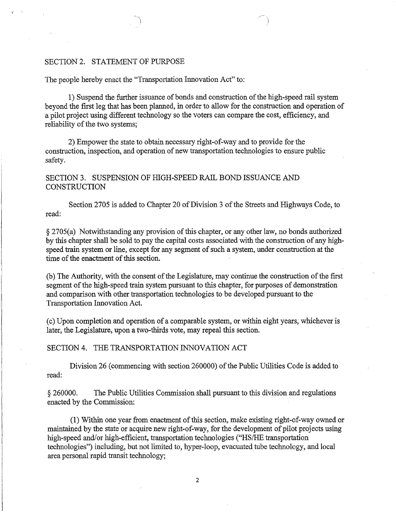### SECTION 2. STATEMENT OF PURPOSE

*'(* '

The people hereby enact the "Transportation Innovation Act" to:

1) Suspend the further issuance of bonds and construction of the high-speed rail system beyond the first leg that has been planned, in order to allow for the construction and operation of a pilot project using different technology so the voters can compare the cost, efficiency, and reliability of the two systems;

2) Empower the state to obtain necessary right-of-way and to provide for the construction, inspection, and operation of new transportation technologies to ensure public safety.

## SECTION 3. SUSPENSION OF HIGH-SPEED RAIL BOND ISSUANCE AND **CONSTRUCTION**

Section 2705 is added to Chapter 20 of Division 3 of the Streets and Highways Code, to read:

§ 2705(a) Notwithstanding any provision of this chapter, or any other law, no bonds authorized by this chapter shall be sold to pay the capital costs associated with the construction of any highspeed train system or line, except for any segment of such a system, under construction at the time of the enactment of this section.

(b) The Authority, with the consent of the Legislature, may continue the construction of the first segment of the high-speed train system pursuant to this chapter, for purposes of demonstration and comparison with other transportation technologies to be developed pursuant to the Transportation Innovation Act.

(c) Upon completion and operation of a comparable system, or within eight years; whichever is later, the Legislature, upon a two-thirds vote, may repeal this section.

#### SECTION 4. THE TRANSPORTATION INNOVATION ACT

Division 26 (commencing with section 260000) of the Public Utilities Code is added to read:

§ 260000. The Public Utilities Commission shall pursuant to this division and regulations enacted by the Commission:

(1) Within one year from enactment of this section, make existing right-of-way owned or maintained by the state or acquire new right-of-way, for the development of pilot projects using high-speed and/or high-efficient, transportation technologies ("HS/HE transportation technologies") including, but not limited to, hyper-loop, evacuated tube technology, and local area personal rapid transit technology;

2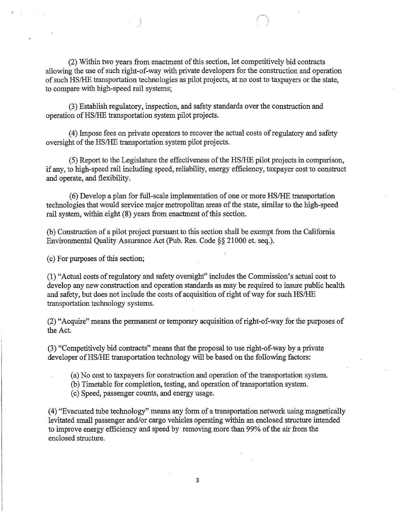(2) Within two years from enactment of this section, let competitively bid contracts allowing the use of such right-of-way with private developers for the construction and operation of such HS/HE transportation technologies as pilot projects, at no cost to taxpayers or the state, to compare with high-speed rail systems;

(3) Establish regulatory, inspection, and safety standards over the construction and operation ofHS/HE transportation system pilot projects.

)

(4) Impose fees on private operators to recover the actual costs of regulatory and safety oversight of the HS/HE transportation system pilot projects.

(5) Report to the Legislature the effectiveness of the HSIHE pilot projects in comparison, if any, to high-speed rail including speed, reliability, energy efficiency, taxpayer cost to construct and operate, and flexibility.

(6) Develop a plan for full-scale implementation of one or more HS/HE transportation technologies that would service major metropolitan areas of the state, similar to the high-speed rail system, within eight (8) years from enactment of this section.

(b) Construction of a pilot project pursuant to this section shall be exempt from the California Environmental Quality Assurance Act (Pub. Res. Code§§ 21000 et. seq.).

(c) For purposes of this section;

(1) "Actual costs of regulatory and safety oversight'' includes the Commission's actual cost to develop any new construction and operation standards as may be required to insure public health and safety, but does not include the costs of acquisition of right of way for such HS/HE transportation technology systems.

(2) "Acquire" means the permanent or temporary acquisition of right-of-way for the purposes of the Act.

(3) "Competitively bid contracts" means that the proposal to use right-of-way by a private developer of HS/HE transportation technology will be based on the following factors:

(a) No cost to taxpayers for construction and operation of the transportation system.

(b) Timetable for completion, testing, and operation of transportation system.

(c) Speed, passenger counts, and energy usage.

( 4) "Evacuated tube technology" means any form of a transportation network using magnetically levitated small passenger and/or cargo vehicles operating within an enclosed structure intended to improve energy efficiency and speed by removing more than 99% of the air from the enclosed structure.